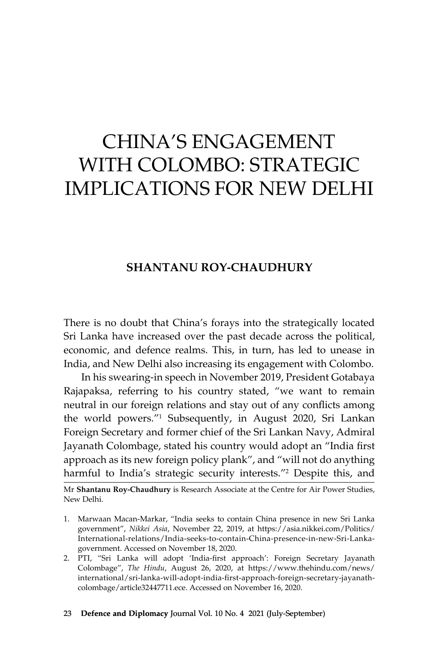# China's Engagement with Colombo: Strategic Implications for New Delhi

## **Shantanu Roy-Chaudhury**

There is no doubt that China's forays into the strategically located Sri Lanka have increased over the past decade across the political, economic, and defence realms. This, in turn, has led to unease in India, and New Delhi also increasing its engagement with Colombo.

In his swearing-in speech in November 2019, President Gotabaya Rajapaksa, referring to his country stated, "we want to remain neutral in our foreign relations and stay out of any conflicts among the world powers."1 Subsequently, in August 2020, Sri Lankan Foreign Secretary and former chief of the Sri Lankan Navy, Admiral Jayanath Colombage, stated his country would adopt an "India first approach as its new foreign policy plank", and "will not do anything harmful to India's strategic security interests."<sup>2</sup> Despite this, and

#### 23 **Defence and Diplomacy** Journal Vol. 10 No. 4 2021 (July-September)

Mr **Shantanu Roy-Chaudhury** is Research Associate at the Centre for Air Power Studies, New Delhi.

<sup>1.</sup> Marwaan Macan-Markar, "India seeks to contain China presence in new Sri Lanka government", *Nikkei Asia*, November 22, 2019, at https://asia.nikkei.com/Politics/ International-relations/India-seeks-to-contain-China-presence-in-new-Sri-Lankagovernment. Accessed on November 18, 2020.

<sup>2.</sup> PTI, "Sri Lanka will adopt 'India-first approach': Foreign Secretary Jayanath Colombage", *The Hindu*, August 26, 2020, at https://www.thehindu.com/news/ international/sri-lanka-will-adopt-india-first-approach-foreign-secretary-jayanathcolombage/article32447711.ece. Accessed on November 16, 2020.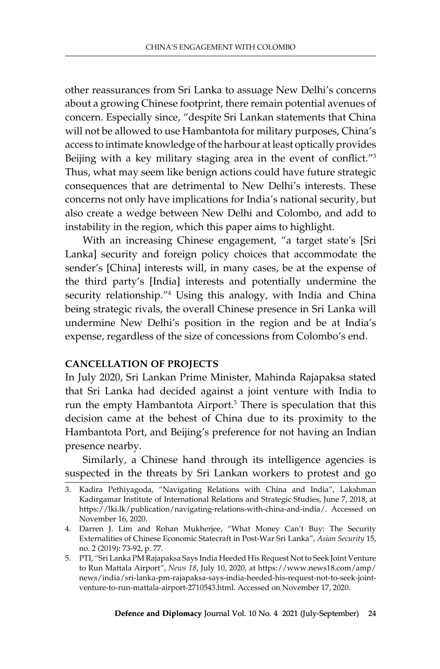other reassurances from Sri Lanka to assuage New Delhi's concerns about a growing Chinese footprint, there remain potential avenues of concern. Especially since, "despite Sri Lankan statements that China will not be allowed to use Hambantota for military purposes, China's access to intimate knowledge of the harbour at least optically provides Beijing with a key military staging area in the event of conflict."<sup>3</sup> Thus, what may seem like benign actions could have future strategic consequences that are detrimental to New Delhi's interests. These concerns not only have implications for India's national security, but also create a wedge between New Delhi and Colombo, and add to instability in the region, which this paper aims to highlight.

With an increasing Chinese engagement, "a target state's [Sri Lanka] security and foreign policy choices that accommodate the sender's [China] interests will, in many cases, be at the expense of the third party's [India] interests and potentially undermine the security relationship.<sup>"4</sup> Using this analogy, with India and China being strategic rivals, the overall Chinese presence in Sri Lanka will undermine New Delhi's position in the region and be at India's expense, regardless of the size of concessions from Colombo's end.

## **Cancellation of Projects**

In July 2020, Sri Lankan Prime Minister, Mahinda Rajapaksa stated that Sri Lanka had decided against a joint venture with India to run the empty Hambantota Airport.<sup>5</sup> There is speculation that this decision came at the behest of China due to its proximity to the Hambantota Port, and Beijing's preference for not having an Indian presence nearby.

Similarly, a Chinese hand through its intelligence agencies is suspected in the threats by Sri Lankan workers to protest and go

<sup>3.</sup> Kadira Pethiyagoda, "Navigating Relations with China and India", Lakshman Kadirgamar Institute of International Relations and Strategic Studies, June 7, 2018, at https://lki.lk/publication/navigating-relations-with-china-and-india/. Accessed on November 16, 2020.

<sup>4.</sup> Darren J. Lim and Rohan Mukherjee, "What Money Can't Buy: The Security Externalities of Chinese Economic Statecraft in Post-War Sri Lanka", *Asian Security* 15, no. 2 (2019): 73-92, p. 77.

<sup>5.</sup> PTI, "Sri Lanka PM Rajapaksa Says India Heeded His Request Not to Seek Joint Venture to Run Mattala Airport", *News 18*, July 10, 2020, at https://www.news18.com/amp/ news/india/sri-lanka-pm-rajapaksa-says-india-heeded-his-request-not-to-seek-jointventure-to-run-mattala-airport-2710543.html*.* Accessed on November 17, 2020.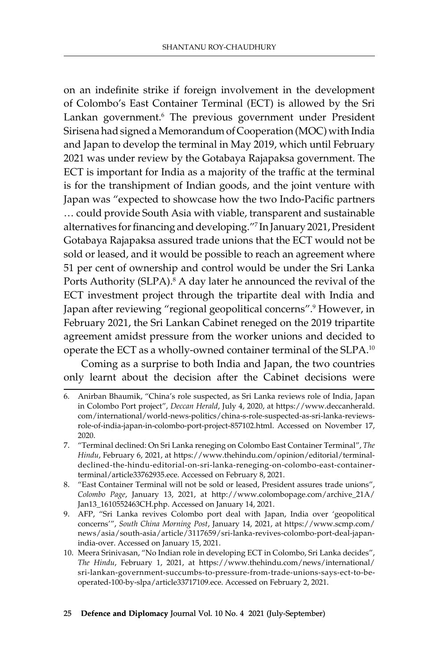on an indefinite strike if foreign involvement in the development of Colombo's East Container Terminal (ECT) is allowed by the Sri Lankan government.<sup>6</sup> The previous government under President Sirisena had signed a Memorandum of Cooperation (MOC) with India and Japan to develop the terminal in May 2019, which until February 2021 was under review by the Gotabaya Rajapaksa government. The ECT is important for India as a majority of the traffic at the terminal is for the transhipment of Indian goods, and the joint venture with Japan was "expected to showcase how the two Indo-Pacific partners … could provide South Asia with viable, transparent and sustainable alternatives for financing and developing."<sup>7</sup> In January 2021, President Gotabaya Rajapaksa assured trade unions that the ECT would not be sold or leased, and it would be possible to reach an agreement where 51 per cent of ownership and control would be under the Sri Lanka Ports Authority (SLPA).<sup>8</sup> A day later he announced the revival of the ECT investment project through the tripartite deal with India and Japan after reviewing "regional geopolitical concerns".<sup>9</sup> However, in February 2021, the Sri Lankan Cabinet reneged on the 2019 tripartite agreement amidst pressure from the worker unions and decided to operate the ECT as a wholly-owned container terminal of the SLPA.<sup>10</sup>

Coming as a surprise to both India and Japan, the two countries only learnt about the decision after the Cabinet decisions were

- 7. "Terminal declined: On Sri Lanka reneging on Colombo East Container Terminal", *The Hindu*, February 6, 2021, at https://www.thehindu.com/opinion/editorial/terminaldeclined-the-hindu-editorial-on-sri-lanka-reneging-on-colombo-east-containerterminal/article33762935.ece. Accessed on February 8, 2021.
- 8. "East Container Terminal will not be sold or leased, President assures trade unions", *Colombo Page*, January 13, 2021, at http://www.colombopage.com/archive\_21A/ Jan13\_1610552463CH.php. Accessed on January 14, 2021.
- 9. AFP, "Sri Lanka revives Colombo port deal with Japan, India over 'geopolitical concerns'", *South China Morning Post*, January 14, 2021, at https://www.scmp.com/ news/asia/south-asia/article/3117659/sri-lanka-revives-colombo-port-deal-japanindia-over. Accessed on January 15, 2021.
- 10. Meera Srinivasan, "No Indian role in developing ECT in Colombo, Sri Lanka decides", *The Hindu*, February 1, 2021, at https://www.thehindu.com/news/international/ sri-lankan-government-succumbs-to-pressure-from-trade-unions-says-ect-to-beoperated-100-by-slpa/article33717109.ece. Accessed on February 2, 2021.

#### 25 **Defence and Diplomacy** Journal Vol. 10 No. 4 2021 (July-September)

<sup>6.</sup> Anirban Bhaumik, "China's role suspected, as Sri Lanka reviews role of India, Japan in Colombo Port project", *Deccan Herald*, July 4, 2020, at https://www.deccanherald. com/international/world-news-politics/china-s-role-suspected-as-sri-lanka-reviewsrole-of-india-japan-in-colombo-port-project-857102.html. Accessed on November 17, 2020.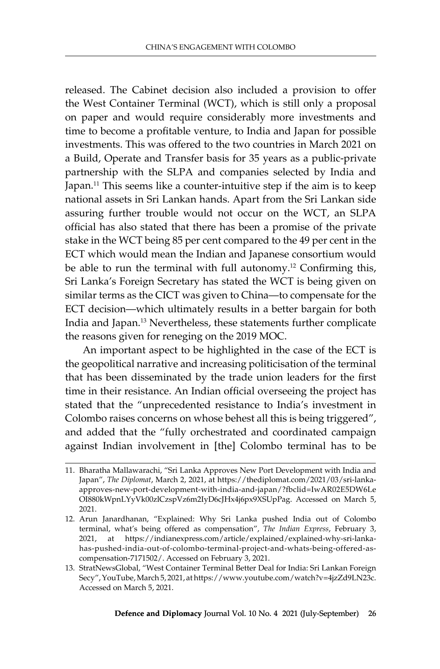released. The Cabinet decision also included a provision to offer the West Container Terminal (WCT), which is still only a proposal on paper and would require considerably more investments and time to become a profitable venture, to India and Japan for possible investments. This was offered to the two countries in March 2021 on a Build, Operate and Transfer basis for 35 years as a public-private partnership with the SLPA and companies selected by India and Japan.11 This seems like a counter-intuitive step if the aim is to keep national assets in Sri Lankan hands. Apart from the Sri Lankan side assuring further trouble would not occur on the WCT, an SLPA official has also stated that there has been a promise of the private stake in the WCT being 85 per cent compared to the 49 per cent in the ECT which would mean the Indian and Japanese consortium would be able to run the terminal with full autonomy.<sup>12</sup> Confirming this, Sri Lanka's Foreign Secretary has stated the WCT is being given on similar terms as the CICT was given to China—to compensate for the ECT decision—which ultimately results in a better bargain for both India and Japan.13 Nevertheless, these statements further complicate the reasons given for reneging on the 2019 MOC.

An important aspect to be highlighted in the case of the ECT is the geopolitical narrative and increasing politicisation of the terminal that has been disseminated by the trade union leaders for the first time in their resistance. An Indian official overseeing the project has stated that the "unprecedented resistance to India's investment in Colombo raises concerns on whose behest all this is being triggered", and added that the "fully orchestrated and coordinated campaign against Indian involvement in [the] Colombo terminal has to be

<sup>11.</sup> Bharatha Mallawarachi, "Sri Lanka Approves New Port Development with India and Japan", *The Diplomat*, March 2, 2021, at https://thediplomat.com/2021/03/sri-lankaapproves-new-port-development-with-india-and-japan/?fbclid=IwAR02E5DW6Le OI880kWpnLYyVk00zlCzspVz6m2IyD6cJHx4j6px9XSUpPag. Accessed on March 5, 2021.

<sup>12.</sup> Arun Janardhanan, "Explained: Why Sri Lanka pushed India out of Colombo terminal, what's being offered as compensation", *The Indian Express*, February 3, 2021, at https://indianexpress.com/article/explained/explained-why-sri-lankahas-pushed-india-out-of-colombo-terminal-project-and-whats-being-offered-ascompensation-7171502/. Accessed on February 3, 2021.

<sup>13.</sup> StratNewsGlobal, "West Container Terminal Better Deal for India: Sri Lankan Foreign Secy", YouTube,March 5, 2021, at https://www.youtube.com/watch?v=4jzZd9LN23c. Accessed on March 5, 2021.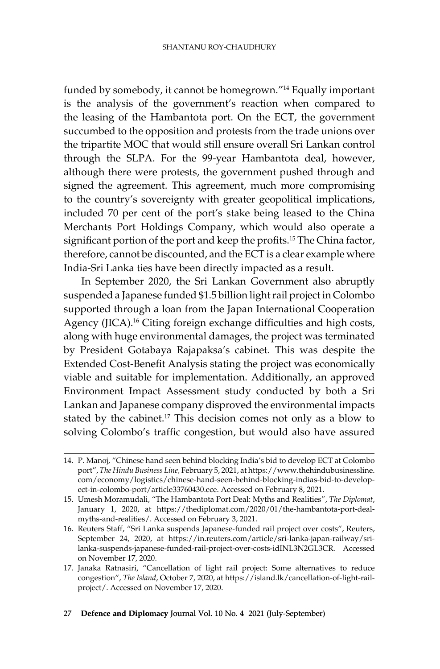funded by somebody, it cannot be homegrown."14 Equally important is the analysis of the government's reaction when compared to the leasing of the Hambantota port. On the ECT, the government succumbed to the opposition and protests from the trade unions over the tripartite MOC that would still ensure overall Sri Lankan control through the SLPA. For the 99-year Hambantota deal, however, although there were protests, the government pushed through and signed the agreement. This agreement, much more compromising to the country's sovereignty with greater geopolitical implications, included 70 per cent of the port's stake being leased to the China Merchants Port Holdings Company, which would also operate a significant portion of the port and keep the profits.<sup>15</sup> The China factor, therefore, cannot be discounted, and the ECT is a clear example where India-Sri Lanka ties have been directly impacted as a result.

In September 2020, the Sri Lankan Government also abruptly suspended a Japanese funded \$1.5 billion light rail project in Colombo supported through a loan from the Japan International Cooperation Agency (JICA).<sup>16</sup> Citing foreign exchange difficulties and high costs, along with huge environmental damages, the project was terminated by President Gotabaya Rajapaksa's cabinet. This was despite the Extended Cost-Benefit Analysis stating the project was economically viable and suitable for implementation. Additionally, an approved Environment Impact Assessment study conducted by both a Sri Lankan and Japanese company disproved the environmental impacts stated by the cabinet.<sup>17</sup> This decision comes not only as a blow to solving Colombo's traffic congestion, but would also have assured

<sup>14.</sup> P. Manoj, "Chinese hand seen behind blocking India's bid to develop ECT at Colombo port", *The Hindu Business Line,* February 5, 2021, at https://www.thehindubusinessline. com/economy/logistics/chinese-hand-seen-behind-blocking-indias-bid-to-developect-in-colombo-port/article33760430.ece. Accessed on February 8, 2021.

<sup>15.</sup> Umesh Moramudali, "The Hambantota Port Deal: Myths and Realities", *The Diplomat*, January 1, 2020, at https://thediplomat.com/2020/01/the-hambantota-port-dealmyths-and-realities/. Accessed on February 3, 2021.

<sup>16.</sup> Reuters Staff, "Sri Lanka suspends Japanese-funded rail project over costs", Reuters, September 24, 2020, at https://in.reuters.com/article/sri-lanka-japan-railway/srilanka-suspends-japanese-funded-rail-project-over-costs-idINL3N2GL3CR. Accessed on November 17, 2020.

<sup>17.</sup> Janaka Ratnasiri, "Cancellation of light rail project: Some alternatives to reduce congestion", *The Island*, October 7, 2020, at https://island.lk/cancellation-of-light-railproject/. Accessed on November 17, 2020.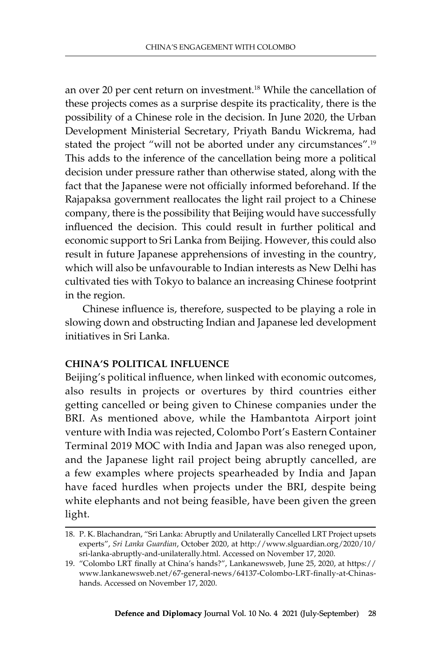an over 20 per cent return on investment.18 While the cancellation of these projects comes as a surprise despite its practicality, there is the possibility of a Chinese role in the decision. In June 2020, the Urban Development Ministerial Secretary, Priyath Bandu Wickrema, had stated the project "will not be aborted under any circumstances".<sup>19</sup> This adds to the inference of the cancellation being more a political decision under pressure rather than otherwise stated, along with the fact that the Japanese were not officially informed beforehand. If the Rajapaksa government reallocates the light rail project to a Chinese company, there is the possibility that Beijing would have successfully influenced the decision. This could result in further political and economic support to Sri Lanka from Beijing. However, this could also result in future Japanese apprehensions of investing in the country, which will also be unfavourable to Indian interests as New Delhi has cultivated ties with Tokyo to balance an increasing Chinese footprint in the region.

Chinese influence is, therefore, suspected to be playing a role in slowing down and obstructing Indian and Japanese led development initiatives in Sri Lanka.

## **China's Political Influence**

Beijing's political influence, when linked with economic outcomes, also results in projects or overtures by third countries either getting cancelled or being given to Chinese companies under the BRI. As mentioned above, while the Hambantota Airport joint venture with India was rejected, Colombo Port's Eastern Container Terminal 2019 MOC with India and Japan was also reneged upon, and the Japanese light rail project being abruptly cancelled, are a few examples where projects spearheaded by India and Japan have faced hurdles when projects under the BRI, despite being white elephants and not being feasible, have been given the green light.

<sup>18.</sup> P. K. Blachandran, "Sri Lanka: Abruptly and Unilaterally Cancelled LRT Project upsets experts", *Sri Lanka Guardian*, October 2020, at http://www.slguardian.org/2020/10/ sri-lanka-abruptly-and-unilaterally.html. Accessed on November 17, 2020.

<sup>19.</sup> "Colombo LRT finally at China's hands?", Lankanewsweb, June 25, 2020, at https:// www.lankanewsweb.net/67-general-news/64137-Colombo-LRT-finally-at-Chinashands. Accessed on November 17, 2020.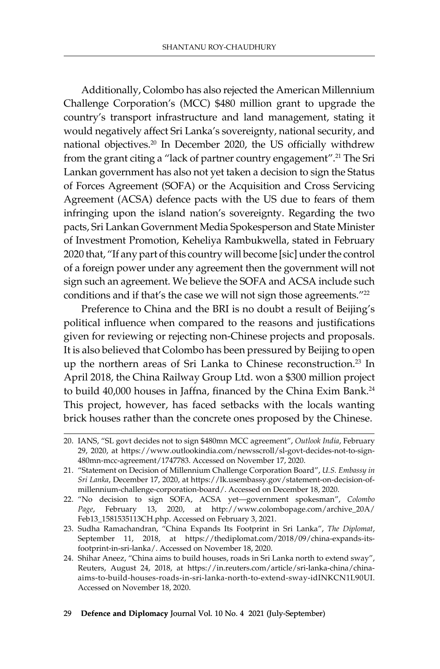Additionally, Colombo has also rejected the American Millennium Challenge Corporation's (MCC) \$480 million grant to upgrade the country's transport infrastructure and land management, stating it would negatively affect Sri Lanka's sovereignty, national security, and national objectives.20 In December 2020, the US officially withdrew from the grant citing a "lack of partner country engagement".21 The Sri Lankan government has also not yet taken a decision to sign the Status of Forces Agreement (SOFA) or the Acquisition and Cross Servicing Agreement (ACSA) defence pacts with the US due to fears of them infringing upon the island nation's sovereignty. Regarding the two pacts, Sri Lankan Government Media Spokesperson and State Minister of Investment Promotion, Keheliya Rambukwella, stated in February 2020 that, "If any part of this country will become [sic] under the control of a foreign power under any agreement then the government will not sign such an agreement. We believe the SOFA and ACSA include such conditions and if that's the case we will not sign those agreements."<sup>22</sup>

Preference to China and the BRI is no doubt a result of Beijing's political influence when compared to the reasons and justifications given for reviewing or rejecting non-Chinese projects and proposals. It is also believed that Colombo has been pressured by Beijing to open up the northern areas of Sri Lanka to Chinese reconstruction.<sup>23</sup> In April 2018, the China Railway Group Ltd. won a \$300 million project to build 40,000 houses in Jaffna, financed by the China Exim Bank.<sup>24</sup> This project, however, has faced setbacks with the locals wanting brick houses rather than the concrete ones proposed by the Chinese.

<sup>20.</sup> IANS, "SL govt decides not to sign \$480mn MCC agreement", *Outlook India*, February 29, 2020, at https://www.outlookindia.com/newsscroll/sl-govt-decides-not-to-sign-480mn-mcc-agreement/1747783. Accessed on November 17, 2020.

<sup>21.</sup> "Statement on Decision of Millennium Challenge Corporation Board", *U.S. Embassy in Sri Lanka*, December 17, 2020, at https://lk.usembassy.gov/statement-on-decision-ofmillennium-challenge-corporation-board/. Accessed on December 18, 2020.

<sup>22.</sup> "No decision to sign SOFA, ACSA yet—government spokesman", *Colombo Page*, February 13, 2020, at http://www.colombopage.com/archive\_20A/ Feb13\_1581535113CH.php. Accessed on February 3, 2021.

<sup>23.</sup> Sudha Ramachandran, "China Expands Its Footprint in Sri Lanka", *The Diplomat*, September 11, 2018, at https://thediplomat.com/2018/09/china-expands-itsfootprint-in-sri-lanka/. Accessed on November 18, 2020.

<sup>24.</sup> Shihar Aneez, "China aims to build houses, roads in Sri Lanka north to extend sway", Reuters, August 24, 2018, at https://in.reuters.com/article/sri-lanka-china/chinaaims-to-build-houses-roads-in-sri-lanka-north-to-extend-sway-idINKCN1L90UI. Accessed on November 18, 2020.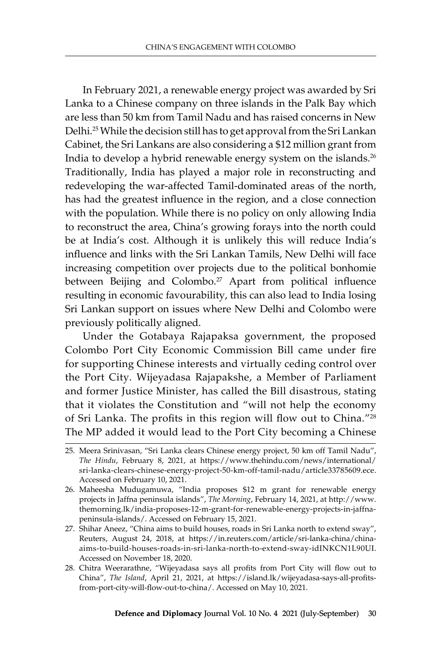In February 2021, a renewable energy project was awarded by Sri Lanka to a Chinese company on three islands in the Palk Bay which are less than 50 km from Tamil Nadu and has raised concerns in New Delhi.25While the decision still has to get approval from the Sri Lankan Cabinet, the Sri Lankans are also considering a \$12 million grant from India to develop a hybrid renewable energy system on the islands.<sup>26</sup> Traditionally, India has played a major role in reconstructing and redeveloping the war-affected Tamil-dominated areas of the north, has had the greatest influence in the region, and a close connection with the population. While there is no policy on only allowing India to reconstruct the area, China's growing forays into the north could be at India's cost. Although it is unlikely this will reduce India's influence and links with the Sri Lankan Tamils, New Delhi will face increasing competition over projects due to the political bonhomie between Beijing and Colombo.<sup>27</sup> Apart from political influence resulting in economic favourability, this can also lead to India losing Sri Lankan support on issues where New Delhi and Colombo were previously politically aligned.

Under the Gotabaya Rajapaksa government, the proposed Colombo Port City Economic Commission Bill came under fire for supporting Chinese interests and virtually ceding control over the Port City. Wijeyadasa Rajapakshe, a Member of Parliament and former Justice Minister, has called the Bill disastrous, stating that it violates the Constitution and "will not help the economy of Sri Lanka. The profits in this region will flow out to China."<sup>28</sup> The MP added it would lead to the Port City becoming a Chinese

<sup>25.</sup> Meera Srinivasan, "Sri Lanka clears Chinese energy project, 50 km off Tamil Nadu", *The Hindu*, February 8, 2021, at https://www.thehindu.com/news/international/ sri-lanka-clears-chinese-energy-project-50-km-off-tamil-nadu/article33785609.ece. Accessed on February 10, 2021.

<sup>26.</sup> Maheesha Mudugamuwa, "India proposes \$12 m grant for renewable energy projects in Jaffna peninsula islands", *The Morning*, February 14, 2021, at http://www. themorning.lk/india-proposes-12-m-grant-for-renewable-energy-projects-in-jaffnapeninsula-islands/. Accessed on February 15, 2021.

<sup>27.</sup> Shihar Aneez, "China aims to build houses, roads in Sri Lanka north to extend sway", Reuters, August 24, 2018, at https://in.reuters.com/article/sri-lanka-china/chinaaims-to-build-houses-roads-in-sri-lanka-north-to-extend-sway-idINKCN1L90UI. Accessed on November 18, 2020.

<sup>28.</sup> Chitra Weerarathne, "Wijeyadasa says all profits from Port City will flow out to China", *The Island*, April 21, 2021, at https://island.lk/wijeyadasa-says-all-profitsfrom-port-city-will-flow-out-to-china/. Accessed on May 10, 2021.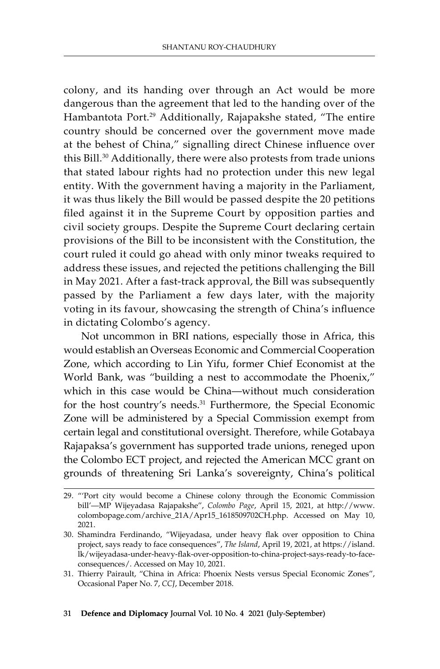colony, and its handing over through an Act would be more dangerous than the agreement that led to the handing over of the Hambantota Port.29 Additionally, Rajapakshe stated, "The entire country should be concerned over the government move made at the behest of China," signalling direct Chinese influence over this Bill.<sup>30</sup> Additionally, there were also protests from trade unions that stated labour rights had no protection under this new legal entity. With the government having a majority in the Parliament, it was thus likely the Bill would be passed despite the 20 petitions filed against it in the Supreme Court by opposition parties and civil society groups. Despite the Supreme Court declaring certain provisions of the Bill to be inconsistent with the Constitution, the court ruled it could go ahead with only minor tweaks required to address these issues, and rejected the petitions challenging the Bill in May 2021. After a fast-track approval, the Bill was subsequently passed by the Parliament a few days later, with the majority voting in its favour, showcasing the strength of China's influence in dictating Colombo's agency.

Not uncommon in BRI nations, especially those in Africa, this would establish an Overseas Economic and Commercial Cooperation Zone, which according to Lin Yifu, former Chief Economist at the World Bank, was "building a nest to accommodate the Phoenix," which in this case would be China—without much consideration for the host country's needs.31 Furthermore, the Special Economic Zone will be administered by a Special Commission exempt from certain legal and constitutional oversight. Therefore, while Gotabaya Rajapaksa's government has supported trade unions, reneged upon the Colombo ECT project, and rejected the American MCC grant on grounds of threatening Sri Lanka's sovereignty, China's political

#### 31 **Defence and Diplomacy** Journal Vol. 10 No. 4 2021 (July-September)

<sup>29.</sup> "'Port city would become a Chinese colony through the Economic Commission bill'—MP Wijeyadasa Rajapakshe", *Colombo Page*, April 15, 2021, at http://www. colombopage.com/archive\_21A/Apr15\_1618509702CH.php. Accessed on May 10, 2021.

<sup>30.</sup> Shamindra Ferdinando, "Wijeyadasa, under heavy flak over opposition to China project, says ready to face consequences", *The Island*, April 19, 2021, at https://island. lk/wijeyadasa-under-heavy-flak-over-opposition-to-china-project-says-ready-to-faceconsequences/. Accessed on May 10, 2021.

<sup>31.</sup> Thierry Pairault, "China in Africa: Phoenix Nests versus Special Economic Zones", Occasional Paper No. 7, *CCJ*, December 2018.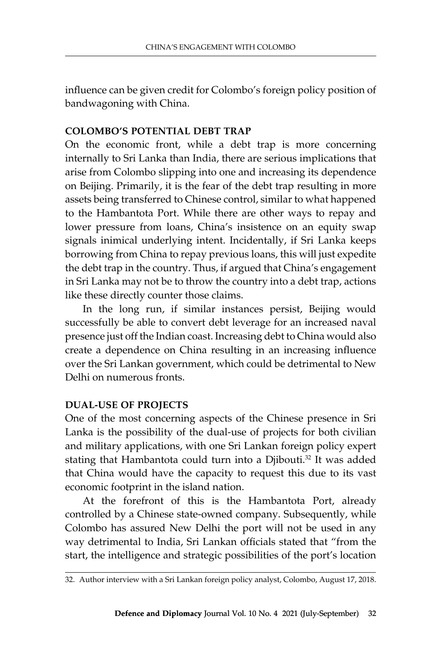influence can be given credit for Colombo's foreign policy position of bandwagoning with China.

### **Colombo's Potential Debt Trap**

On the economic front, while a debt trap is more concerning internally to Sri Lanka than India, there are serious implications that arise from Colombo slipping into one and increasing its dependence on Beijing. Primarily, it is the fear of the debt trap resulting in more assets being transferred to Chinese control, similar to what happened to the Hambantota Port. While there are other ways to repay and lower pressure from loans, China's insistence on an equity swap signals inimical underlying intent. Incidentally, if Sri Lanka keeps borrowing from China to repay previous loans, this will just expedite the debt trap in the country. Thus, if argued that China's engagement in Sri Lanka may not be to throw the country into a debt trap, actions like these directly counter those claims.

In the long run, if similar instances persist, Beijing would successfully be able to convert debt leverage for an increased naval presence just off the Indian coast. Increasing debt to China would also create a dependence on China resulting in an increasing influence over the Sri Lankan government, which could be detrimental to New Delhi on numerous fronts.

## **Dual-Use of Projects**

One of the most concerning aspects of the Chinese presence in Sri Lanka is the possibility of the dual-use of projects for both civilian and military applications, with one Sri Lankan foreign policy expert stating that Hambantota could turn into a Djibouti.<sup>32</sup> It was added that China would have the capacity to request this due to its vast economic footprint in the island nation.

At the forefront of this is the Hambantota Port, already controlled by a Chinese state-owned company. Subsequently, while Colombo has assured New Delhi the port will not be used in any way detrimental to India, Sri Lankan officials stated that "from the start, the intelligence and strategic possibilities of the port's location

<sup>32.</sup> Author interview with a Sri Lankan foreign policy analyst, Colombo, August 17, 2018.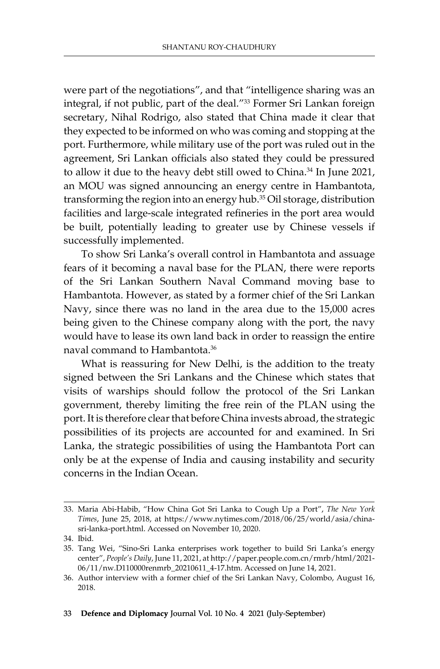were part of the negotiations", and that "intelligence sharing was an integral, if not public, part of the deal."33 Former Sri Lankan foreign secretary, Nihal Rodrigo, also stated that China made it clear that they expected to be informed on who was coming and stopping at the port. Furthermore, while military use of the port was ruled out in the agreement, Sri Lankan officials also stated they could be pressured to allow it due to the heavy debt still owed to China.<sup>34</sup> In June 2021, an MOU was signed announcing an energy centre in Hambantota, transforming the region into an energy hub.35 Oil storage, distribution facilities and large-scale integrated refineries in the port area would be built, potentially leading to greater use by Chinese vessels if successfully implemented.

To show Sri Lanka's overall control in Hambantota and assuage fears of it becoming a naval base for the PLAN, there were reports of the Sri Lankan Southern Naval Command moving base to Hambantota. However, as stated by a former chief of the Sri Lankan Navy, since there was no land in the area due to the 15,000 acres being given to the Chinese company along with the port, the navy would have to lease its own land back in order to reassign the entire naval command to Hambantota.36

What is reassuring for New Delhi, is the addition to the treaty signed between the Sri Lankans and the Chinese which states that visits of warships should follow the protocol of the Sri Lankan government, thereby limiting the free rein of the PLAN using the port. It is therefore clear that before China invests abroad, the strategic possibilities of its projects are accounted for and examined. In Sri Lanka, the strategic possibilities of using the Hambantota Port can only be at the expense of India and causing instability and security concerns in the Indian Ocean.

<sup>33.</sup> Maria Abi-Habib, "How China Got Sri Lanka to Cough Up a Port", *The New York Times*, June 25, 2018, at https://www.nytimes.com/2018/06/25/world/asia/chinasri-lanka-port.html. Accessed on November 10, 2020.

<sup>34.</sup> Ibid.

<sup>35.</sup> Tang Wei, "Sino-Sri Lanka enterprises work together to build Sri Lanka's energy center", *People's Daily*, June 11, 2021, at http://paper.people.com.cn/rmrb/html/2021- 06/11/nw.D110000renmrb\_20210611\_4-17.htm. Accessed on June 14, 2021.

<sup>36.</sup> Author interview with a former chief of the Sri Lankan Navy, Colombo, August 16, 2018.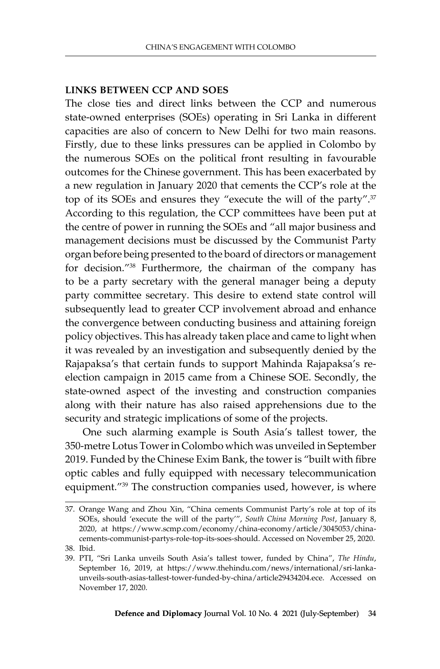#### **Links Between CCP and SOEs**

The close ties and direct links between the CCP and numerous state-owned enterprises (SOEs) operating in Sri Lanka in different capacities are also of concern to New Delhi for two main reasons. Firstly, due to these links pressures can be applied in Colombo by the numerous SOEs on the political front resulting in favourable outcomes for the Chinese government. This has been exacerbated by a new regulation in January 2020 that cements the CCP's role at the top of its SOEs and ensures they "execute the will of the party".<sup>37</sup> According to this regulation, the CCP committees have been put at the centre of power in running the SOEs and "all major business and management decisions must be discussed by the Communist Party organ before being presented to the board of directors or management for decision."38 Furthermore, the chairman of the company has to be a party secretary with the general manager being a deputy party committee secretary. This desire to extend state control will subsequently lead to greater CCP involvement abroad and enhance the convergence between conducting business and attaining foreign policy objectives. This has already taken place and came to light when it was revealed by an investigation and subsequently denied by the Rajapaksa's that certain funds to support Mahinda Rajapaksa's reelection campaign in 2015 came from a Chinese SOE. Secondly, the state-owned aspect of the investing and construction companies along with their nature has also raised apprehensions due to the security and strategic implications of some of the projects.

One such alarming example is South Asia's tallest tower, the 350-metre Lotus Tower in Colombo which was unveiled in September 2019. Funded by the Chinese Exim Bank, the tower is "built with fibre optic cables and fully equipped with necessary telecommunication equipment."39 The construction companies used, however, is where

<sup>37.</sup> Orange Wang and Zhou Xin, "China cements Communist Party's role at top of its SOEs, should 'execute the will of the party'", *South China Morning Post*, January 8, 2020, at https://www.scmp.com/economy/china-economy/article/3045053/chinacements-communist-partys-role-top-its-soes-should. Accessed on November 25, 2020. 38. Ibid.

<sup>39.</sup> PTI, "Sri Lanka unveils South Asia's tallest tower, funded by China", *The Hindu*, September 16, 2019, at https://www.thehindu.com/news/international/sri-lankaunveils-south-asias-tallest-tower-funded-by-china/article29434204.ece. Accessed on November 17, 2020.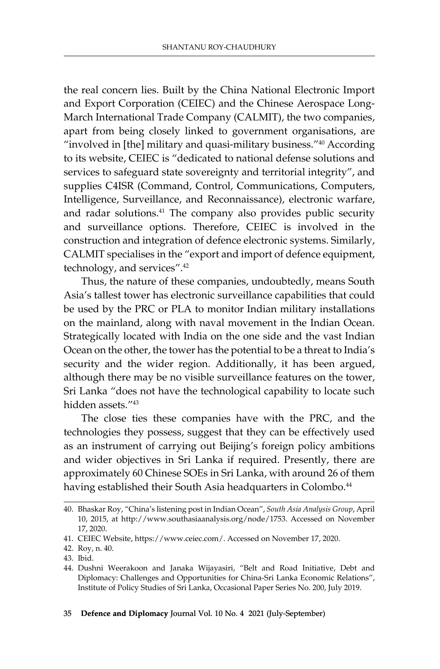the real concern lies. Built by the China National Electronic Import and Export Corporation (CEIEC) and the Chinese Aerospace Long-March International Trade Company (CALMIT), the two companies, apart from being closely linked to government organisations, are "involved in [the] military and quasi-military business."40 According to its website, CEIEC is "dedicated to national defense solutions and services to safeguard state sovereignty and territorial integrity", and supplies C4ISR (Command, Control, Communications, Computers, Intelligence, Surveillance, and Reconnaissance), electronic warfare, and radar solutions.41 The company also provides public security and surveillance options. Therefore, CEIEC is involved in the construction and integration of defence electronic systems. Similarly, CALMIT specialises in the "export and import of defence equipment, technology, and services".<sup>42</sup>

Thus, the nature of these companies, undoubtedly, means South Asia's tallest tower has electronic surveillance capabilities that could be used by the PRC or PLA to monitor Indian military installations on the mainland, along with naval movement in the Indian Ocean. Strategically located with India on the one side and the vast Indian Ocean on the other, the tower has the potential to be a threat to India's security and the wider region. Additionally, it has been argued, although there may be no visible surveillance features on the tower, Sri Lanka "does not have the technological capability to locate such hidden assets."43

The close ties these companies have with the PRC, and the technologies they possess, suggest that they can be effectively used as an instrument of carrying out Beijing's foreign policy ambitions and wider objectives in Sri Lanka if required. Presently, there are approximately 60 Chinese SOEs in Sri Lanka, with around 26 of them having established their South Asia headquarters in Colombo.<sup>44</sup>

43. Ibid.

<sup>40.</sup> Bhaskar Roy, "China's listening post in Indian Ocean", *South Asia Analysis Group*, April 10, 2015, at http://www.southasiaanalysis.org/node/1753. Accessed on November 17, 2020.

<sup>41.</sup> CEIEC Website, https://www.ceiec.com/. Accessed on November 17, 2020.

<sup>42.</sup> Roy, n. 40.

<sup>44.</sup> Dushni Weerakoon and Janaka Wijayasiri, "Belt and Road Initiative, Debt and Diplomacy: Challenges and Opportunities for China-Sri Lanka Economic Relations", Institute of Policy Studies of Sri Lanka, Occasional Paper Series No. 200, July 2019.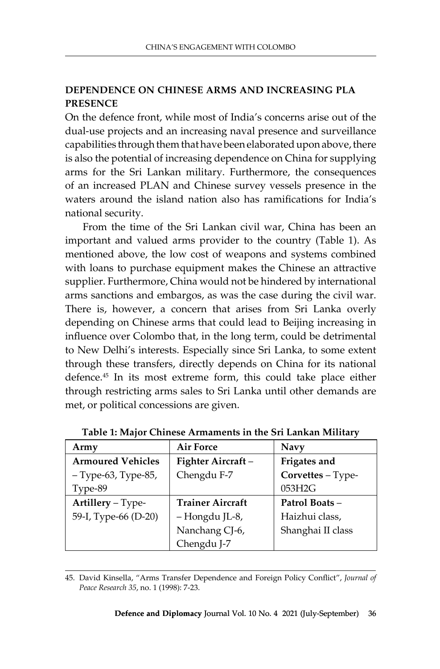## **Dependence on Chinese Arms and Increasing PLA Presence**

On the defence front, while most of India's concerns arise out of the dual-use projects and an increasing naval presence and surveillance capabilities through them that have been elaborated upon above, there is also the potential of increasing dependence on China for supplying arms for the Sri Lankan military. Furthermore, the consequences of an increased PLAN and Chinese survey vessels presence in the waters around the island nation also has ramifications for India's national security.

From the time of the Sri Lankan civil war, China has been an important and valued arms provider to the country (Table 1). As mentioned above, the low cost of weapons and systems combined with loans to purchase equipment makes the Chinese an attractive supplier. Furthermore, China would not be hindered by international arms sanctions and embargos, as was the case during the civil war. There is, however, a concern that arises from Sri Lanka overly depending on Chinese arms that could lead to Beijing increasing in influence over Colombo that, in the long term, could be detrimental to New Delhi's interests. Especially since Sri Lanka, to some extent through these transfers, directly depends on China for its national defence.45 In its most extreme form, this could take place either through restricting arms sales to Sri Lanka until other demands are met, or political concessions are given.

| Army                     | <b>Air Force</b>        | <b>Navy</b>       |
|--------------------------|-------------------------|-------------------|
| <b>Armoured Vehicles</b> | Fighter Aircraft-       | Frigates and      |
| - Type-63, Type-85,      | Chengdu F-7             | Corvettes - Type- |
| Type-89                  |                         | 053H2G            |
| Artillery - Type-        | <b>Trainer Aircraft</b> | Patrol Boats-     |
| 59-I, Type-66 (D-20)     | - Hongdu JL-8,          | Haizhui class,    |
|                          | Nanchang CJ-6,          | Shanghai II class |
|                          | Chengdu J-7             |                   |

**Table 1: Major Chinese Armaments in the Sri Lankan Military** 

45. David Kinsella, "Arms Transfer Dependence and Foreign Policy Conflict", *Journal of Peace Research 35*, no. 1 (1998): 7-23.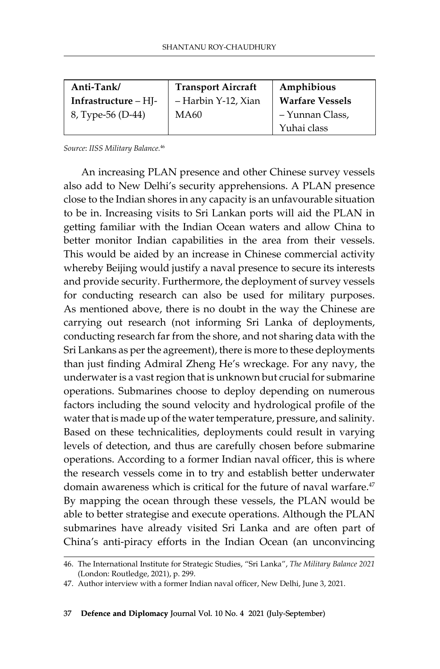| Anti-Tank/             | <b>Transport Aircraft</b> | Amphibious             |
|------------------------|---------------------------|------------------------|
| Infrastructure $-HI$ - | – Harbin Y-12, Xian       | <b>Warfare Vessels</b> |
| 8, Type-56 (D-44)      | MA60                      | - Yunnan Class,        |
|                        |                           | Yuhai class            |

*Source*: *IISS Military Balance.*<sup>46</sup>

An increasing PLAN presence and other Chinese survey vessels also add to New Delhi's security apprehensions. A PLAN presence close to the Indian shores in any capacity is an unfavourable situation to be in. Increasing visits to Sri Lankan ports will aid the PLAN in getting familiar with the Indian Ocean waters and allow China to better monitor Indian capabilities in the area from their vessels. This would be aided by an increase in Chinese commercial activity whereby Beijing would justify a naval presence to secure its interests and provide security. Furthermore, the deployment of survey vessels for conducting research can also be used for military purposes. As mentioned above, there is no doubt in the way the Chinese are carrying out research (not informing Sri Lanka of deployments, conducting research far from the shore, and not sharing data with the Sri Lankans as per the agreement), there is more to these deployments than just finding Admiral Zheng He's wreckage. For any navy, the underwater is a vast region that is unknown but crucial for submarine operations. Submarines choose to deploy depending on numerous factors including the sound velocity and hydrological profile of the water that is made up of the water temperature, pressure, and salinity. Based on these technicalities, deployments could result in varying levels of detection, and thus are carefully chosen before submarine operations. According to a former Indian naval officer, this is where the research vessels come in to try and establish better underwater domain awareness which is critical for the future of naval warfare.<sup>47</sup> By mapping the ocean through these vessels, the PLAN would be able to better strategise and execute operations. Although the PLAN submarines have already visited Sri Lanka and are often part of China's anti-piracy efforts in the Indian Ocean (an unconvincing

<sup>46.</sup> The International Institute for Strategic Studies, "Sri Lanka", *The Military Balance 2021*  (London: Routledge, 2021), p. 299.

<sup>47.</sup> Author interview with a former Indian naval officer, New Delhi, June 3, 2021.